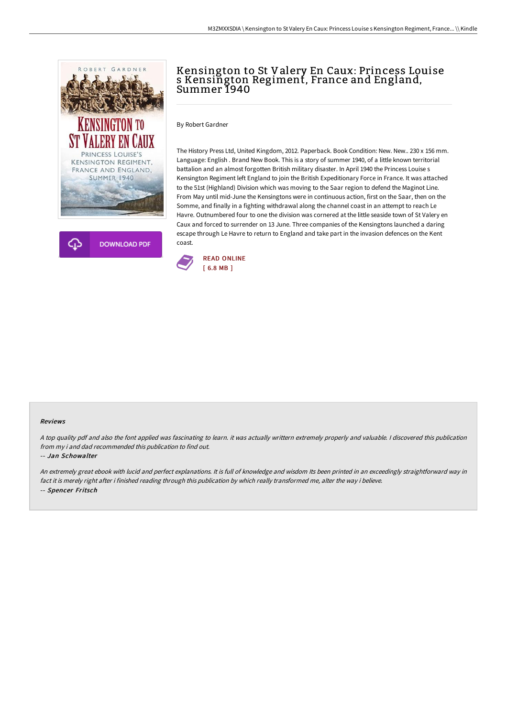



## Kensington to St Valery En Caux: Princess Louise s Kensington Regiment, France and England, Summer 1940

By Robert Gardner

The History Press Ltd, United Kingdom, 2012. Paperback. Book Condition: New. New.. 230 x 156 mm. Language: English . Brand New Book. This is a story of summer 1940, of a little known territorial battalion and an almost forgotten British military disaster. In April 1940 the Princess Louise s Kensington Regiment left England to join the British Expeditionary Force in France. It was attached to the 51st (Highland) Division which was moving to the Saar region to defend the Maginot Line. From May until mid-June the Kensingtons were in continuous action, first on the Saar, then on the Somme, and finally in a fighting withdrawal along the channel coast in an attempt to reach Le Havre. Outnumbered four to one the division was cornered at the little seaside town of St Valery en Caux and forced to surrender on 13 June. Three companies of the Kensingtons launched a daring escape through Le Havre to return to England and take part in the invasion defences on the Kent coast.



## Reviews

<sup>A</sup> top quality pdf and also the font applied was fascinating to learn. it was actually writtern extremely properly and valuable. <sup>I</sup> discovered this publication from my i and dad recommended this publication to find out.

## -- Jan Schowalter

An extremely great ebook with lucid and perfect explanations. It is full of knowledge and wisdom Its been printed in an exceedingly straightforward way in fact it is merely right after i finished reading through this publication by which really transformed me, alter the way i believe. -- Spencer Fritsch